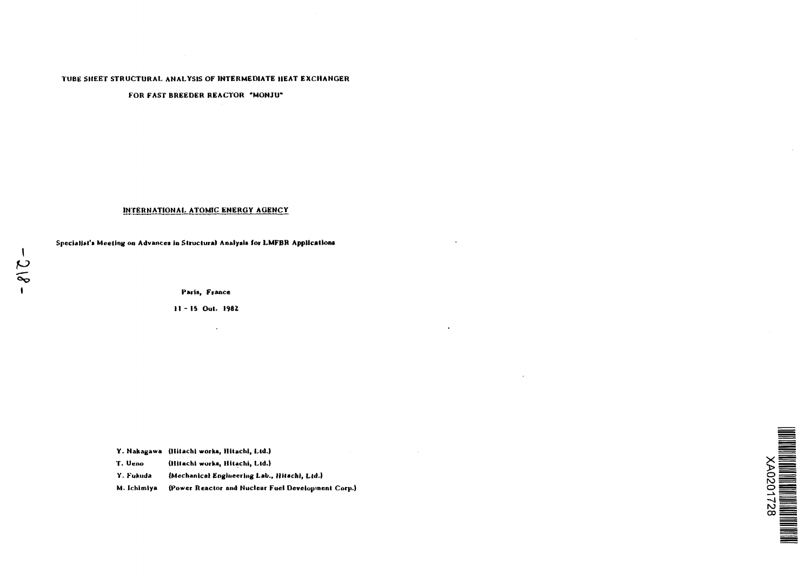# **TUBE SHEET STRUCTURAL ANALYSIS OF INTERMEDIATE HEAT EXCHANGER**

# **FOR FAST BREEDER REACTOR "MONJU"**

# **INTERNATIONAL ATOMIC ENERGY AGENCY**

**Specialist's Meeting on Advances In Structural Analysis for LMFBR Application!**

**Paris, France**

**11 - IS Out. 1982**

 $\mathbf{v}$ 

|           | Y. Nakagawa (Hitachi works, Hitachi, Ltd.)   |    |
|-----------|----------------------------------------------|----|
| T. Ueno   | (Hitachi works, Hitachi, Ltd.)               |    |
| Y. Fukuda | (Mechanical Engineering Lab., Hitachi, Ltd.) | N. |
|           |                                              |    |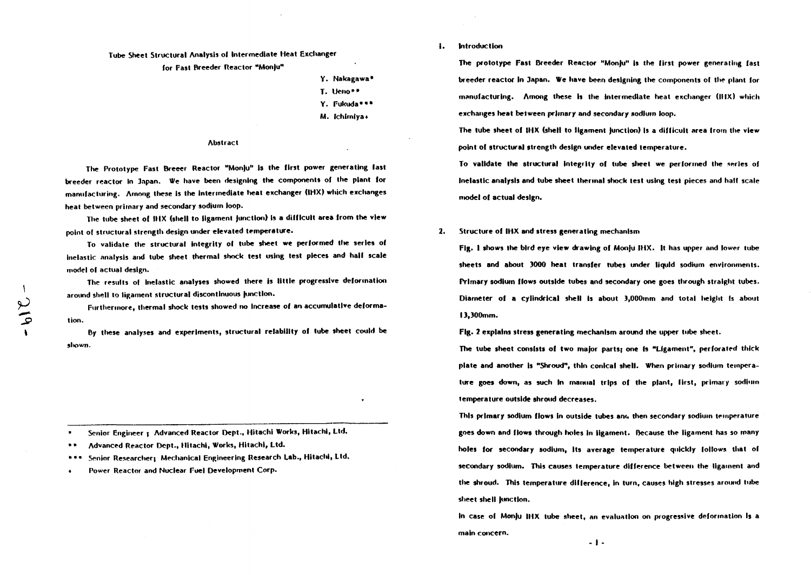# **Tube Sheet Structural Analysis ol Intermediate Heat Exchanger**

#### **for Fast Breeder Reactor "Monju"**

- **Y. Nakagawa\***
- **T.** Heno\*\*
- **Y. Fukuda""\***
- **M. Ichlrnlya\***

### **Abstract**

**The Prototype Past Breeer Reactor "Monju" is the first power generating fast breeder reactor In 3npan. We have been designing the components ol the plant lor manufacturing. Among these is the intermediate heat exchanger (IHX) which exchanges heat between primary and secondary sodium loop.**

**The tube sheet of IHX (shell to ligament Junction) Is a difficult area Irom the view point of structural strength design under elevated temperature.**

**To validate the structural integrity of tube sheet we performed the series of inelastic analysis and tube sheet thermal shock test using test pieces and hall scale model of actual design.**

**The results ol inelastic analyses showed there is little progressive deformation around shell to ligament structural discontinuous Junction.**

**Furthermore, thermal shock tests showed no Increase of an accumulative deformation.**

**By tltese analyses and experiments, structural relability ol tube sheet could be shown.**

**• Senior Engineer ; Advanced Reactor Dept., Hitachi Works, Hitachi, Ltd.**

- **• Advanced Reactor Dept., Hitachi, Works, Hitachi, Ltd.**
- **\* " Senior Researcher; Mechanical Engineering Research Lab., Hitachi, Ltd.**
- **Power Reactor and Nuclear Fuel Development Corp.**

**1. Introduction**

The prototype Fast Breeder Reactor "Monju" is the first power generating fast **breeder reactor In Japan. We have been designing the components of the plant for manufacturing. Among these Is the Intermediate heat exchanger (MIX) which exchanges heat between primary and secondary nodiuin loop.**

**The tube sheet of IHX (shell to ligament Junction) is a difficult area from the view point of structural strength design under elevated temperature.**

**To validate the structural integrity of tube sheet we performed the series of Inelastic analysis and tube sheet thermal shock test using test pieces and half scale model of actual design.**

**2. Structure ol IHX and stress generating mechanism**

**Fig. I shows the bird eye view drawing ol Monju IHX. It has upper and lower tube sheets and about 3000 heat transfer rubes under liquid sodium environments. Primary sodium flows outside tubes and secondary one goes through straight tubes. Diameter of a cylindrical shell Is about 3,000mm and total height Is about 13,300mm.**

**Fig. 2 explains stress generating mechanism around the upper tube sheet.**

**The tube sheet consists ol two major parts} one is "Ligament", perforated thick plate and another Is "Shroud", thin conical shell. When primary sodium temperature goes down, as such In manual trips of the plant, first, primary sodium temperature outside shroud decreases.**

**This primary sodium Hows in outside tubes am. then secondary sodium temperature goes down and Hows through holes In ligament. Because the ligament has so many holes lor secondary sodium, Its average temperature quickly lollows that ol secondary sodium. This causes temperature difference between the ligament and the shroud. This temperature dilference, in turn, causes high stresses around tube** sheet shell junction.

**In case of Monju IHX tube sheet, an evaluation on progressive deformation Is a main concern.**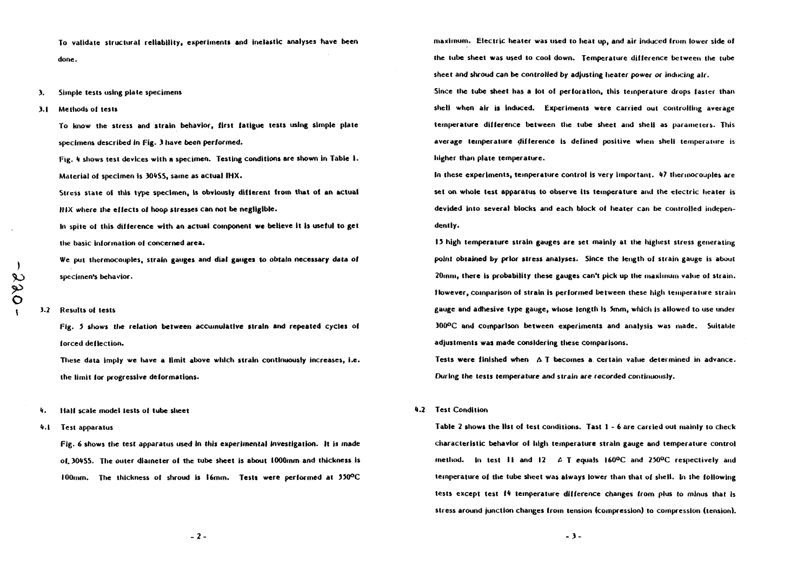**To validate structural reliability, experiments and inelastic analyses have been done.**

## **3. Simple tests using plate specimens**

**3.1 Methods of tests**

**To know the stress and strain behavior, first fatigue tests using simple plate specimens described In Fig- 3 have been performed.**

Fig. 4 shows test devices with a specimen. Testing conditions are shown in Table 1. **Material of specimen is 3O4SS, same as actual IHX.**

**Stress state of this type specimen, Is obviously different from that of an actual IIIX where the effects of hoop stresses can not be negligible.**

**lit spile of this difference with an actual component we believe it is useful to get the basic information of concerned area.**

**We put thermocouples, strain gauges and dial gauges to obtain necessary data of specimen's behavior.**

#### **3.2 Results of tests**

**Fig. 5 shows the relation between accumulative strain and repeated cycles of forced deflection.**

**These data imply we have a limit above which strain continuously increases, i.e. the limit for progressive deformations.**

- **4. Half scale model tests of tube sheet**
- **1.1 Test apparatus**

**Fig. 6 shows the test apparatus used in this experimental Investigation. It is made of. 3O4SS. The outer diameter of the tube sheet is about lOOOrnm and thickness is 100mm. The thickness of shroud is 16mm. Test\* were performed at 35O°C**

**maximum. Electric heater was used to heat up, and air induced from lower side of the tube sheet was used to cool down. Temperature diiference between the tube sheet and shroud can be controlled by adjusting heater** *power or* **inducing air.**

**Since the tube sheet has a lot of perforation, this temperature drops faster than shell when air is induced. Experiments were carried out controlling average temperature difference between the tube sheet and shell as parameters. This average temperature difference Is defined positive when shell temperature is higher than plate temperature.**

**In these experiments, temperature control is very important. 47 thermocouples are set on whole test apparatus to observe its temperature ami the electric heater is devided into several blocks and each block of heater can be controlled independently.**

**13 high temperature strain gauges are set mainly at the highest stress generating point obtained by prior stress analyses. Since the length of strain gauge is about 20inm, there Is probability tltese gauges can't pick up the maximum value of strain. However, comparison of strain is performed between these high temperature strain gauge and adhesive type gauge, whose length is 5mm, which is allowed to use under 300°C and comparison between experiments and analysis was made. Suitable adjustments was made considering these comparisons.**

**Tests were finished when A T becomes a certain value determined in advance. During the tests temperature and strain are recorded continuously.**

## **4.2 Test Condition**

**Table 2 shows the list of test conditions. Tast I - 6 are carried out mainly to check characteristic behavior of high temperature strain gauge and temperature control method. In test II and 12 £ T equals I6O°C and 250°C respectively and temperature of the tube sheet was always lower than that of shell. In the following tests except test 14 temperature difference changes from plus to minus that is stress around junction changes from tension (compression) to compression (tension).**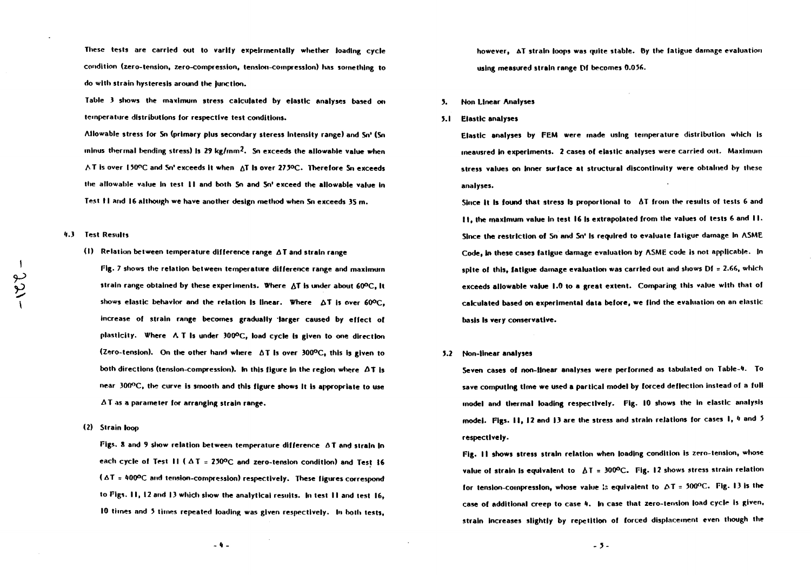**These tests are carried out to varlfy expelrmentally whether loading cycle condition (zero-tension, zero-compression, tension-compression) has something to do with strain hysteresis around the (unction.**

**Table 3 shows the maximum stress calculated by elastic analyses based on temperature distributions for respective test conditions.**

**Allowable stress for Sn (primary plus secondary steress intensity range) and Sn<sup>1</sup> (Sn minus thermal bending stress) is 29 kg/mm?. Sn exceeds the allowable value when AT Is over I50OC and Sn' exceeds It when AT Is over 273°C. Therefore Sn exceeds the allowable value in test 11 and both Sn and Sn' exceed the allowable value In Test 11 and 16 although we have another design method when Sn exceeds 35 m.**

## **'1.3 Test Results**

**(1) Relation between temperature difference range AT and strain range**

**Fig. 7 shows the relation between temperature difference range and maximum strain range obtained by these experiments. Where AT Is under about 60°C, It shows elastic behavior and the relation Is linear. Where AT is over 60°C, increase of strain range becomes gradually 'larger caused by effect of plasticity. Where A T Is under 300°C, load cycle Is given to one direction (Zero-tension). On the other hand where AT Is over 300°C, this is given to** both directions (tension-compression). In this figure in the region where  $\Delta T$  is **near 300°C, the curve is smooth and this figure shows it is appropriate to use A T as a parameter for arranging strain range.**

**(2) Strain loop**

**Figs. X and 9 show relation between temperature difference AT and strain In** each cycle of Test  $\mathbf{1} \mathbf{1}$  ( $\Delta \mathbf{T} = 250^{\circ}\text{C}$  and zero-tension condition) and Test 16 **(AT = 100°C and tension-compression) respectively. These figures correspond to Figs. 11,12 and 13 which show the analytical results. In test 11 and test 16, 10 times and 5 times repeated loading was given respectively. In both tests,**

however, AT strain loops was quite stable. By the fatigue damage evaluation **using measured strain range Df becomes 0.056.**

#### **3. Non Linear Analyses**

**3.1 Elastic analyses**

**Elastic analyses by FEM were made using temperature distribution which is •neausred In experiments. 2 cases of elastic analyses were carried out. Maximum stress values on Inner surface at structural discontinuity were obtained by these analyses.**

**Since It Is found that stress Is proportional to AT from the results of tests 6 and 11, the maximum value In test 16 Is extrapolated from the values of tests 6 and II . Since the restriction of Sn and Sn' Is required to evaluate fatigue damage In ASME Code, In these cases fatigue damage evaluation by ASME code is not applicable. In spite of this, fatigue damage evaluation was carried out and shows Df = 2.66, which exceeds allowable value 1.0 to a great extent. Comparing this value with that of calculated based on experimental data before, we find the evaluation on an elastic basis Is very conservative.**

#### **3.2 Non-linear analyses**

**Seven cases of non-linear analyses were performed as tabulated on Table-4. To save computing time we used a partlcal model by forced deflection instead ol a full model and thermal loading respectively. Fig. 10 shows the in elastic analysis model. Figs. II , 12 and 13 are the stress and strain relations for cases I, \* and 5 respectively.**

Fig. 11 shows stress strain relation when loading condition is zero-tension, whose **value of strain Is equivalent to AT = 300°C. Fig. 12 shows stress strain relation lor tension-compression, whose value Is equivalent to AT = 500°C. Fig. 13 is the case ol additional creep to case 4. In case that zero-tension load cycle Is given, strain Increases slightly by repetition of forced displacement even though the**

 $-9 -$ 

**- 3-**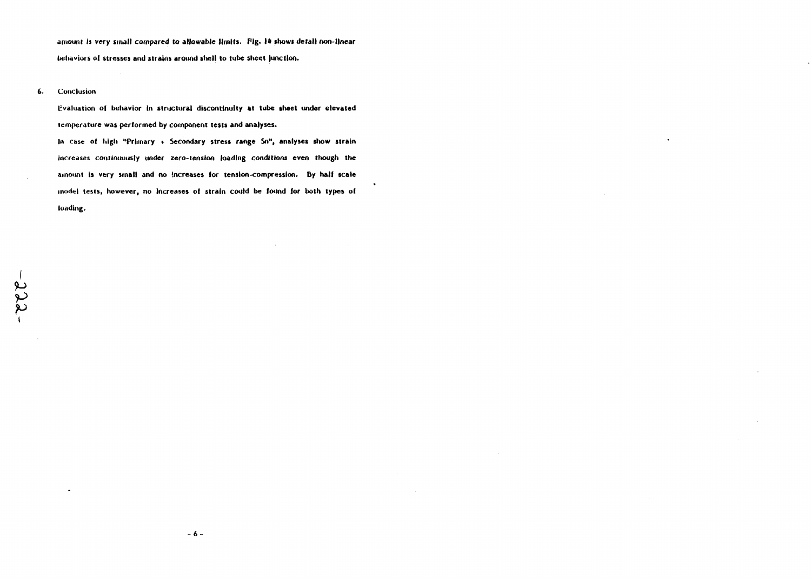**arnounl is very small compared to allowable limits. Pig. 14 showt detail non-linear behaviors ol stresses and strains around shell to tube sheet (unction.**

## 6. Conclusion

**(•valuation of behavior In structural discontinuity at tube sheet under elevated temperature was performed by component tests and analyses.**

**In case of high "Primary \* Secondary stress range So", analyses show strain increases continuously under zero-tension loading conditions even though tlie amount is very small and no increases lor tension-compression. By half scale model tests, however, no increases of strain could be found lor both types of loading.**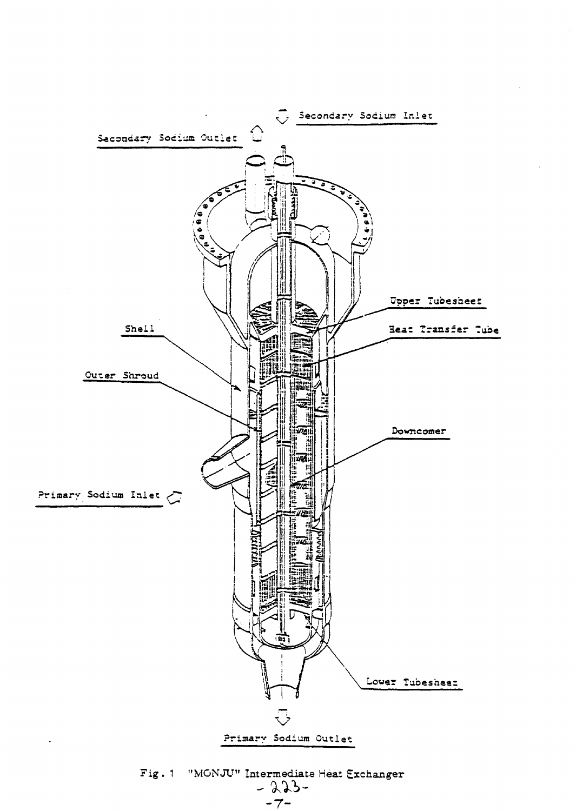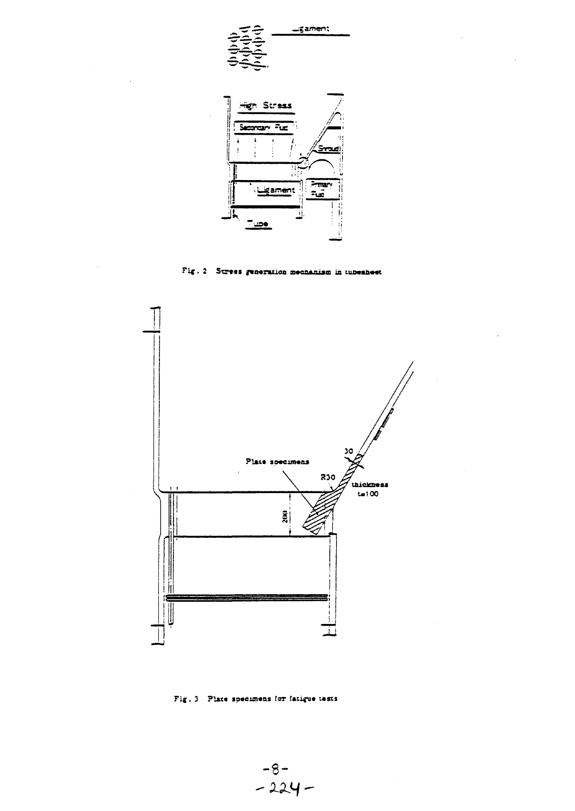

Fig. 2 Stress generation mechanism in tubesheet



Fig. 3 Plate specimens for fatigue tests

 $-8-$ <br>-224 -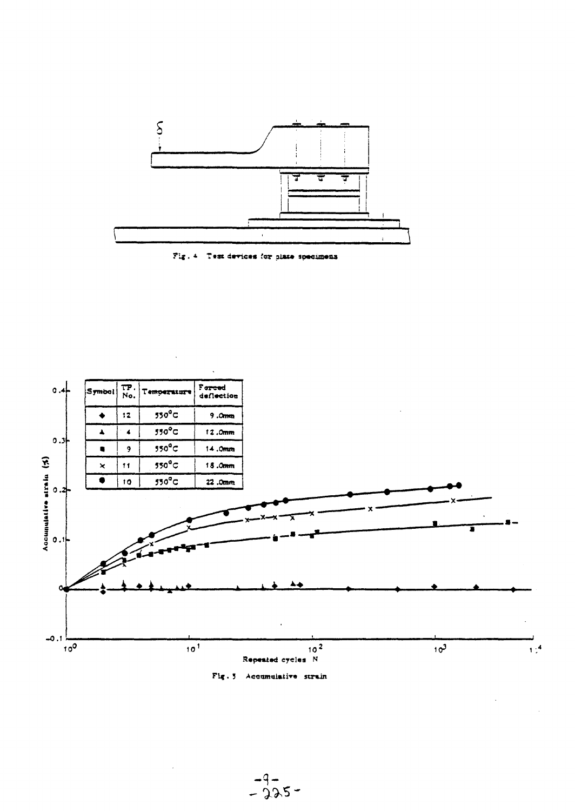







 $-9-$ <br>-225-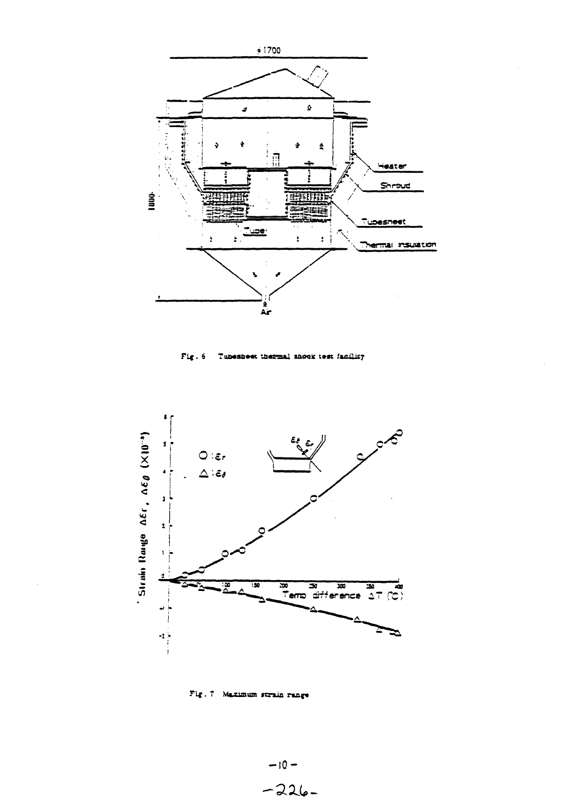

Fig. 6 Tubesheet thermal shock test facility



Fig. 7 Maximum strain range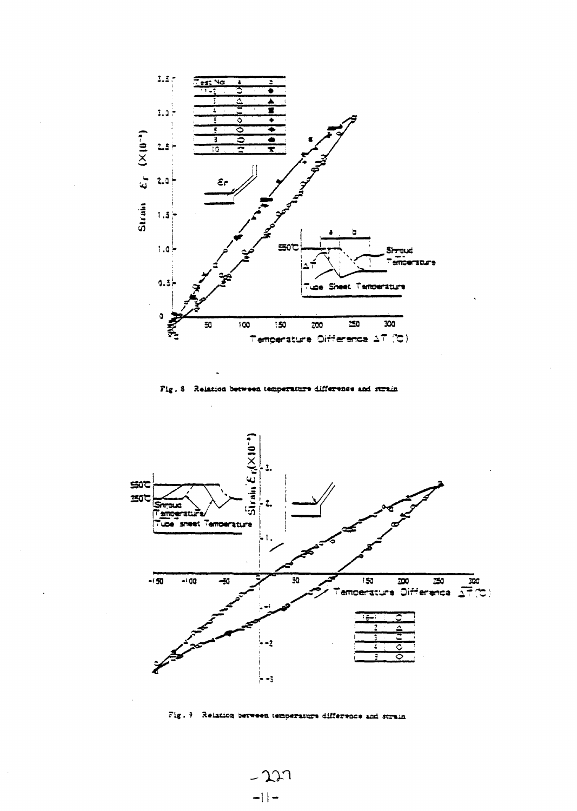

Fig. 8 Relation between temperature difference and strain



Fig. 9 Relation between temperature difference and strain

 $-227$  $-1$  |  $-$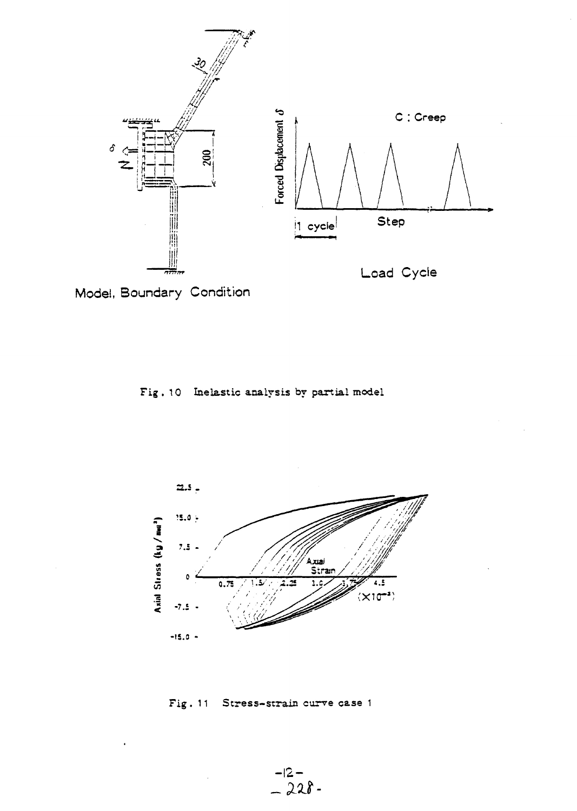

Model, Boundary Condition





Fig. 11 Stress-strain curve case 1

 $-12 - 228 - 228$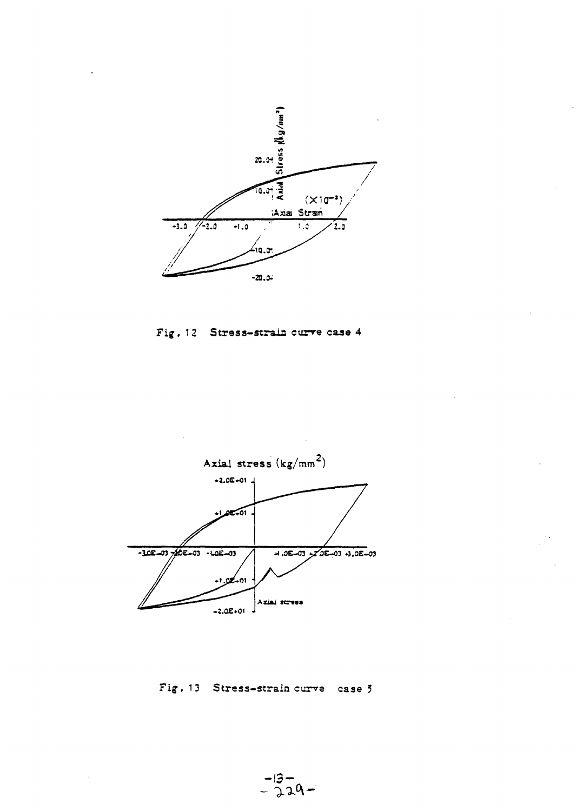





Fig. 13 Stress-strain curve case 5

 $-13-$ <br>-229-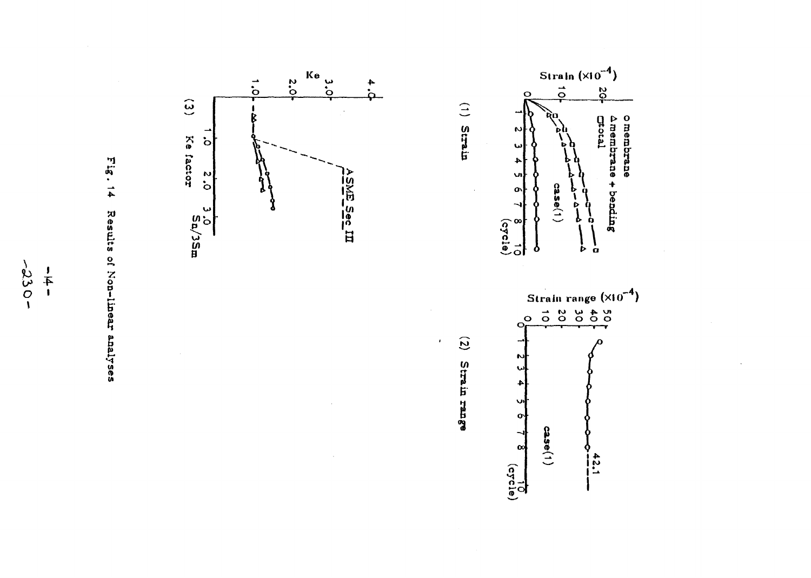





 $\widehat{c}$ 

 $\pmb{\cdot}$ 

Strain range

 $\sigma$ 

 $\infty$ 

 $\frac{10}{\sqrt{21}}$ 

 $case(1)$ 

 $\frac{45.1}{1}$ 

 $\begin{pmatrix} 1 \\ 1 \end{pmatrix}$ 

Strain

 $-0.330 -\frac{1}{4}$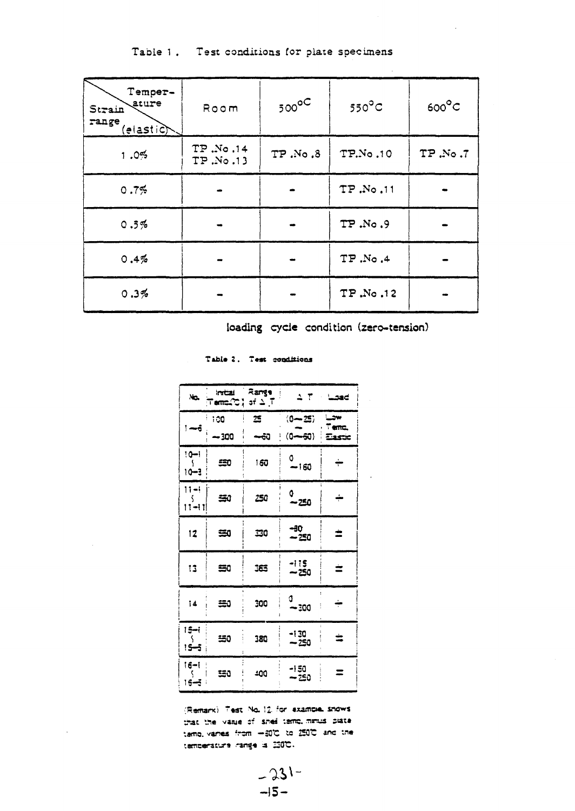Table 1. Test conditions for plate specimens

| Temper-<br>ature<br>Strain<br>range<br>(elastic) | Room                 | $500^{\circ}$ | $550^{\circ}$ C | $600^{\circ}C$ |
|--------------------------------------------------|----------------------|---------------|-----------------|----------------|
| 1.0%                                             | TP.No.14<br>TP.No.13 | 7P.No.8       | TP.No.10        | TP.No.7        |
| 0.7%                                             |                      |               | TP.No.11        |                |
| 0.5%                                             |                      |               | TP.No.9         |                |
| 0.4%                                             |                      |               | <b>TP.No.4</b>  |                |
| 0.3%                                             |                      |               | TP.No.12        |                |

loading cycle condition (zero-tension)

Table 2. Test conditions

| $\overline{\phantom{a}}$               | initzi<br>⊤amದ್ದಿ'ರ್ ಎ⊺ | ಷಿಖಗಳೂ |                | $2.7$ Load  |
|----------------------------------------|-------------------------|--------|----------------|-------------|
| $=$                                    | 100                     | 笘      | (0—25)         | ست<br>Temp. |
|                                        | $-300$                  | ⊷ನಿ    | $(0 - 50)$     | Eastic      |
| $10 - 1$<br>10-3                       | 50                      | 160    | O<br>$-160$    | ÷           |
| $11 - 1$<br>11-11                      | 急り                      | 250    | 0<br>~250      | ÷           |
| 12                                     | ≊0                      | 30     | -30<br>~250    | ż           |
| 13                                     | 雪0                      | 163    | -115<br>$-250$ | ≐           |
| 14                                     | ≊0                      | 300    | d<br>~300      | ÷           |
| 1 <del>5 - i</del><br><del>ی د</del> ؟ | 150                     | 380    | -130<br>$-250$ | ≐           |
| 16-l<br>15-3                           | w                       | 400    | -150<br>— 250  | Ξ           |

(Remark) Test No. 12 for example shows that the value of shell temp, minus plate tame, varies from =30℃ to 250℃ and the temperature range is ISOC.

> $-231 -15-$